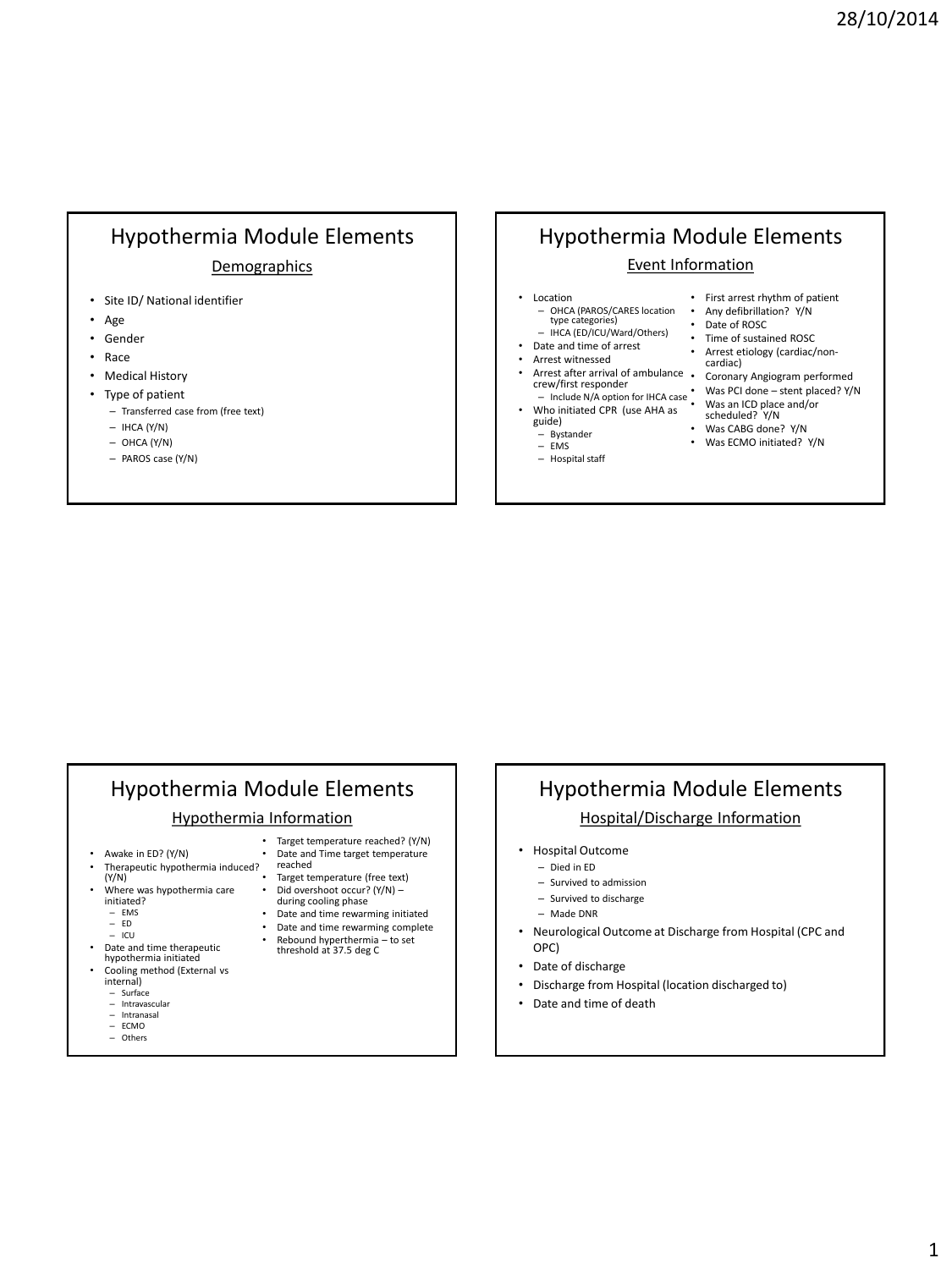1

## Hypothermia Module Elements **Demographics**

- Site ID/ National identifier
- Age
- **Gender**
- Race
- Medical History
- Type of patient
	- Transferred case from (free text)
	- $-$  IHCA (Y/N)
	- $-$  OHCA (Y/N)
	- PAROS case (Y/N)

## Hypothermia Module Elements Event Information

- **Location** – OHCA (PAROS/CARES location • Any defibrillation? Y/N
- type categories) – IHCA (ED/ICU/Ward/Others)
- Date and time of arrest
- Arrest witnessed
- Arrest after arrival of ambulance Coronary Angiogram performed crew/first responder
- 
- guide)
- Bystander EMS
- 
- First arrest rhythm of patient
- Date of ROSC
- Time of sustained ROSC
- Arrest etiology (cardiac/non-
- cardiac) • Was PCI done – stent placed? Y/N
- Include N/A option for IHCA case Who initiated CPR (use AHA as Was an ICD place and/or scheduled? Y/N
	- Was CABG done? Y/N
	- Was ECMO initiated? Y/N

#### – Hospital staff

## Hypothermia Module Elements

#### Hypothermia Information

- Awake in ED? (Y/N)
- Therapeutic hypothermia induced?
- (Y/N)
- Where was hypothermia care initiated?
	- EMS ED
	-
	- ICU Date and time therapeutic
- hypothermia initiated • Cooling method (External vs internal)
	-
	- Surface
	- Intravascular – Intranasal
	- $=$  ECMO<br> $=$  Others
	- Others
- Target temperature reached? (Y/N) • Date and Time target temperature
- reached
- Target temperature (free text) • Did overshoot occur? (Y/N) – during cooling phase
- Date and time rewarming initiated
- Date and time rewarming complete
- Rebound hyperthermia to set
- threshold at 37.5 deg C

# Hypothermia Module Elements

### Hospital/Discharge Information

- Hospital Outcome
	- Died in ED
	- Survived to admission
	- Survived to discharge
	- Made DNR
- Neurological Outcome at Discharge from Hospital (CPC and OPC)
- Date of discharge
- Discharge from Hospital (location discharged to)
- Date and time of death